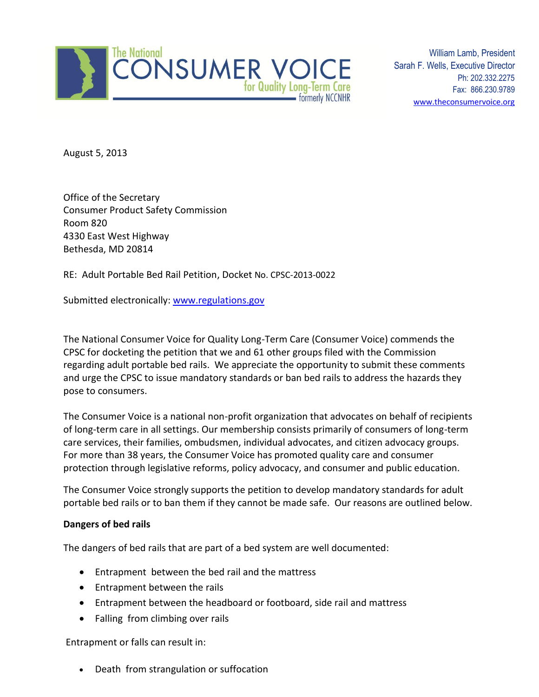

William Lamb, President Sarah F. Wells, Executive Director Ph: 202.332.2275 Fax: 866.230.9789 [www.theconsumervoice.org](http://www.theconsumervoice.org/)

August 5, 2013

Office of the Secretary Consumer Product Safety Commission Room 820 4330 East West Highway Bethesda, MD 20814

RE: Adult Portable Bed Rail Petition, Docket No. CPSC-2013-0022

Submitted electronically: [www.regulations.gov](http://www.regulations.gov/)

The National Consumer Voice for Quality Long-Term Care (Consumer Voice) commends the CPSC for docketing the petition that we and 61 other groups filed with the Commission regarding adult portable bed rails. We appreciate the opportunity to submit these comments and urge the CPSC to issue mandatory standards or ban bed rails to address the hazards they pose to consumers.

The Consumer Voice is a national non-profit organization that advocates on behalf of recipients of long-term care in all settings. Our membership consists primarily of consumers of long-term care services, their families, ombudsmen, individual advocates, and citizen advocacy groups. For more than 38 years, the Consumer Voice has promoted quality care and consumer protection through legislative reforms, policy advocacy, and consumer and public education.

The Consumer Voice strongly supports the petition to develop mandatory standards for adult portable bed rails or to ban them if they cannot be made safe. Our reasons are outlined below.

### **Dangers of bed rails**

The dangers of bed rails that are part of a bed system are well documented:

- Entrapment between the bed rail and the mattress
- Entrapment between the rails
- Entrapment between the headboard or footboard, side rail and mattress
- Falling from climbing over rails

Entrapment or falls can result in:

Death from strangulation or suffocation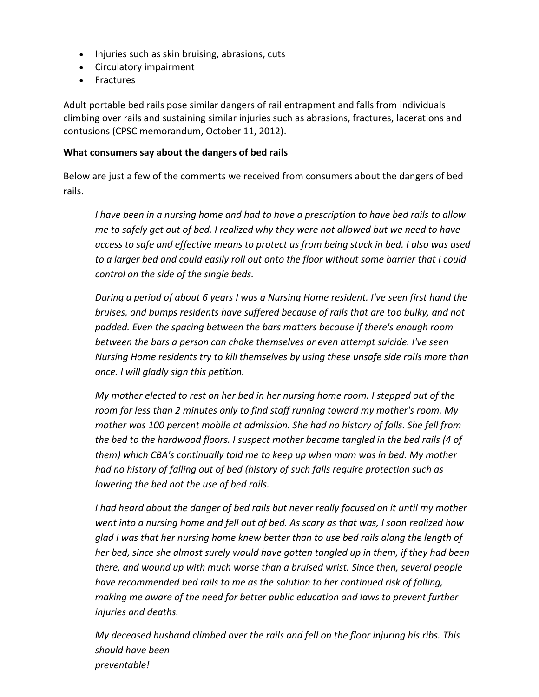- Injuries such as skin bruising, abrasions, cuts
- Circulatory impairment
- Fractures

Adult portable bed rails pose similar dangers of rail entrapment and falls from individuals climbing over rails and sustaining similar injuries such as abrasions, fractures, lacerations and contusions (CPSC memorandum, October 11, 2012).

## **What consumers say about the dangers of bed rails**

Below are just a few of the comments we received from consumers about the dangers of bed rails.

*I have been in a nursing home and had to have a prescription to have bed rails to allow me to safely get out of bed. I realized why they were not allowed but we need to have access to safe and effective means to protect us from being stuck in bed. I also was used to a larger bed and could easily roll out onto the floor without some barrier that I could control on the side of the single beds.*

*During a period of about 6 years I was a Nursing Home resident. I've seen first hand the bruises, and bumps residents have suffered because of rails that are too bulky, and not padded. Even the spacing between the bars matters because if there's enough room between the bars a person can choke themselves or even attempt suicide. I've seen Nursing Home residents try to kill themselves by using these unsafe side rails more than once. I will gladly sign this petition.*

*My mother elected to rest on her bed in her nursing home room. I stepped out of the room for less than 2 minutes only to find staff running toward my mother's room. My mother was 100 percent mobile at admission. She had no history of falls. She fell from the bed to the hardwood floors. I suspect mother became tangled in the bed rails (4 of them) which CBA's continually told me to keep up when mom was in bed. My mother had no history of falling out of bed (history of such falls require protection such as lowering the bed not the use of bed rails.*

*I had heard about the danger of bed rails but never really focused on it until my mother went into a nursing home and fell out of bed. As scary as that was, I soon realized how glad I was that her nursing home knew better than to use bed rails along the length of her bed, since she almost surely would have gotten tangled up in them, if they had been there, and wound up with much worse than a bruised wrist. Since then, several people have recommended bed rails to me as the solution to her continued risk of falling, making me aware of the need for better public education and laws to prevent further injuries and deaths.*

*My deceased husband climbed over the rails and fell on the floor injuring his ribs. This should have been preventable!*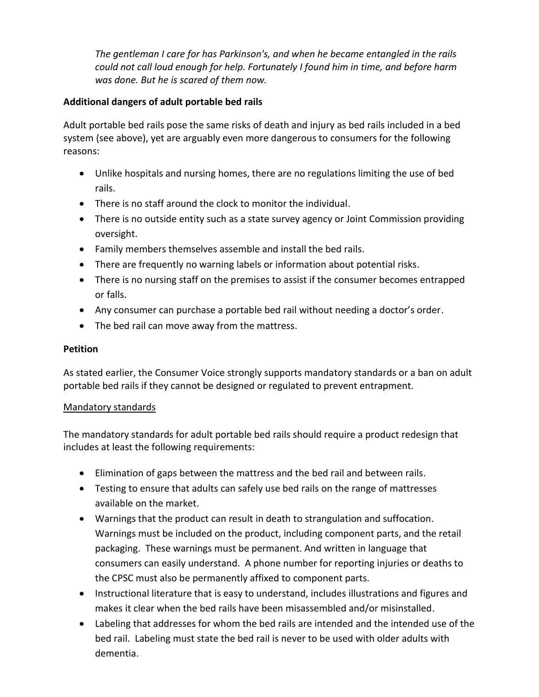*The gentleman I care for has Parkinson's, and when he became entangled in the rails could not call loud enough for help. Fortunately I found him in time, and before harm was done. But he is scared of them now.*

# **Additional dangers of adult portable bed rails**

Adult portable bed rails pose the same risks of death and injury as bed rails included in a bed system (see above), yet are arguably even more dangerous to consumers for the following reasons:

- Unlike hospitals and nursing homes, there are no regulations limiting the use of bed rails.
- There is no staff around the clock to monitor the individual.
- There is no outside entity such as a state survey agency or Joint Commission providing oversight.
- Family members themselves assemble and install the bed rails.
- There are frequently no warning labels or information about potential risks.
- There is no nursing staff on the premises to assist if the consumer becomes entrapped or falls.
- Any consumer can purchase a portable bed rail without needing a doctor's order.
- The bed rail can move away from the mattress.

# **Petition**

As stated earlier, the Consumer Voice strongly supports mandatory standards or a ban on adult portable bed rails if they cannot be designed or regulated to prevent entrapment.

## Mandatory standards

The mandatory standards for adult portable bed rails should require a product redesign that includes at least the following requirements:

- Elimination of gaps between the mattress and the bed rail and between rails.
- Testing to ensure that adults can safely use bed rails on the range of mattresses available on the market.
- Warnings that the product can result in death to strangulation and suffocation. Warnings must be included on the product, including component parts, and the retail packaging. These warnings must be permanent. And written in language that consumers can easily understand. A phone number for reporting injuries or deaths to the CPSC must also be permanently affixed to component parts.
- Instructional literature that is easy to understand, includes illustrations and figures and makes it clear when the bed rails have been misassembled and/or misinstalled.
- Labeling that addresses for whom the bed rails are intended and the intended use of the bed rail. Labeling must state the bed rail is never to be used with older adults with dementia.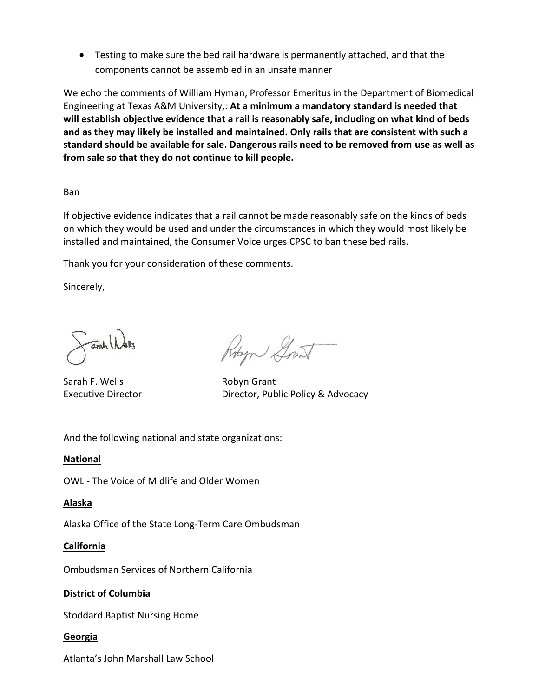Testing to make sure the bed rail hardware is permanently attached, and that the components cannot be assembled in an unsafe manner

We echo the comments of William Hyman, Professor Emeritus in the Department of Biomedical Engineering at Texas A&M University,: **At a minimum a mandatory standard is needed that will establish objective evidence that a rail is reasonably safe, including on what kind of beds and as they may likely be installed and maintained. Only rails that are consistent with such a standard should be available for sale. Dangerous rails need to be removed from use as well as from sale so that they do not continue to kill people.**

## Ban

If objective evidence indicates that a rail cannot be made reasonably safe on the kinds of beds on which they would be used and under the circumstances in which they would most likely be installed and maintained, the Consumer Voice urges CPSC to ban these bed rails.

Thank you for your consideration of these comments.

Sincerely,

arah Welly

Sarah F. Wells **Robyn Grant** 

Robert Grant

Executive Director **Executive Director**, Public Policy & Advocacy

And the following national and state organizations:

### **National**

OWL - The Voice of Midlife and Older Women

### **Alaska**

Alaska Office of the State Long-Term Care Ombudsman

## **California**

Ombudsman Services of Northern California

## **District of Columbia**

Stoddard Baptist Nursing Home

## **Georgia**

Atlanta's John Marshall Law School